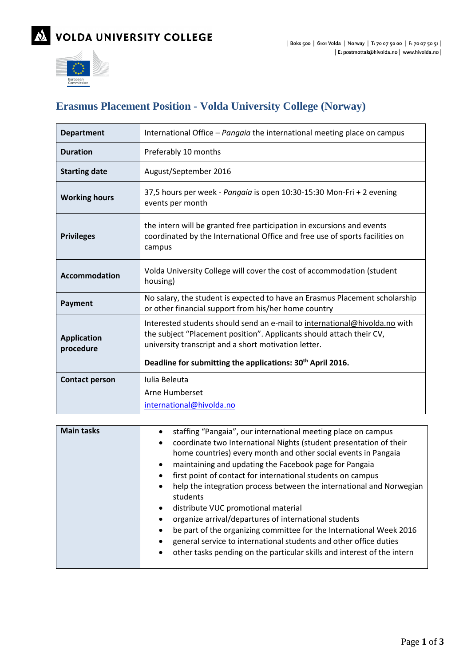

## **Erasmus Placement Position - Volda University College (Norway)**

| <b>Department</b>               | International Office – Pangaia the international meeting place on campus                                                                                                                                                                                                             |
|---------------------------------|--------------------------------------------------------------------------------------------------------------------------------------------------------------------------------------------------------------------------------------------------------------------------------------|
| <b>Duration</b>                 | Preferably 10 months                                                                                                                                                                                                                                                                 |
| <b>Starting date</b>            | August/September 2016                                                                                                                                                                                                                                                                |
| <b>Working hours</b>            | 37,5 hours per week - Pangaia is open 10:30-15:30 Mon-Fri + 2 evening<br>events per month                                                                                                                                                                                            |
| <b>Privileges</b>               | the intern will be granted free participation in excursions and events<br>coordinated by the International Office and free use of sports facilities on<br>campus                                                                                                                     |
| Accommodation                   | Volda University College will cover the cost of accommodation (student<br>housing)                                                                                                                                                                                                   |
| Payment                         | No salary, the student is expected to have an Erasmus Placement scholarship<br>or other financial support from his/her home country                                                                                                                                                  |
| <b>Application</b><br>procedure | Interested students should send an e-mail to international@hivolda.no with<br>the subject "Placement position". Applicants should attach their CV,<br>university transcript and a short motivation letter.<br>Deadline for submitting the applications: 30 <sup>th</sup> April 2016. |
| <b>Contact person</b>           | Iulia Beleuta                                                                                                                                                                                                                                                                        |
|                                 | Arne Humberset<br>international@hivolda.no                                                                                                                                                                                                                                           |

| <b>Main tasks</b> | staffing "Pangaia", our international meeting place on campus<br>coordinate two International Nights (student presentation of their<br>home countries) every month and other social events in Pangaia<br>maintaining and updating the Facebook page for Pangaia<br>first point of contact for international students on campus<br>help the integration process between the international and Norwegian<br>students<br>distribute VUC promotional material<br>organize arrival/departures of international students<br>be part of the organizing committee for the International Week 2016<br>general service to international students and other office duties<br>other tasks pending on the particular skills and interest of the intern |
|-------------------|-------------------------------------------------------------------------------------------------------------------------------------------------------------------------------------------------------------------------------------------------------------------------------------------------------------------------------------------------------------------------------------------------------------------------------------------------------------------------------------------------------------------------------------------------------------------------------------------------------------------------------------------------------------------------------------------------------------------------------------------|
|-------------------|-------------------------------------------------------------------------------------------------------------------------------------------------------------------------------------------------------------------------------------------------------------------------------------------------------------------------------------------------------------------------------------------------------------------------------------------------------------------------------------------------------------------------------------------------------------------------------------------------------------------------------------------------------------------------------------------------------------------------------------------|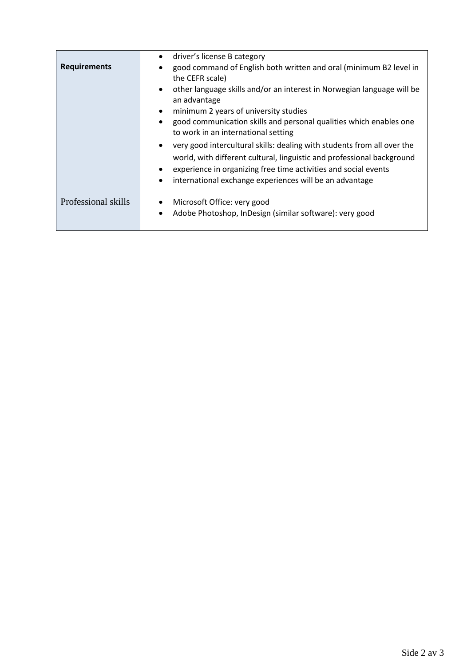| <b>Requirements</b> | driver's license B category<br>$\bullet$<br>good command of English both written and oral (minimum B2 level in<br>the CEFR scale)<br>other language skills and/or an interest in Norwegian language will be<br>$\bullet$<br>an advantage<br>minimum 2 years of university studies<br>good communication skills and personal qualities which enables one<br>to work in an international setting<br>very good intercultural skills: dealing with students from all over the<br>world, with different cultural, linguistic and professional background<br>experience in organizing free time activities and social events |
|---------------------|------------------------------------------------------------------------------------------------------------------------------------------------------------------------------------------------------------------------------------------------------------------------------------------------------------------------------------------------------------------------------------------------------------------------------------------------------------------------------------------------------------------------------------------------------------------------------------------------------------------------|
|                     | international exchange experiences will be an advantage                                                                                                                                                                                                                                                                                                                                                                                                                                                                                                                                                                |
| Professional skills | Microsoft Office: very good<br>Adobe Photoshop, InDesign (similar software): very good                                                                                                                                                                                                                                                                                                                                                                                                                                                                                                                                 |